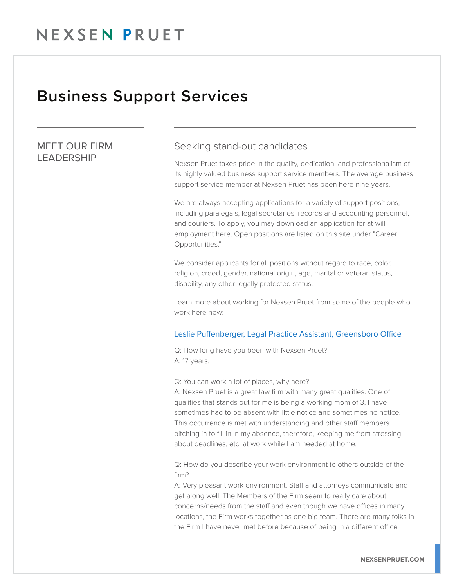## Business Support Services

## MEET OUR FIRM LEADERSHIP

### Seeking stand-out candidates

Nexsen Pruet takes pride in the quality, dedication, and professionalism of its highly valued business support service members. The average business support service member at Nexsen Pruet has been here nine years.

We are always accepting applications for a variety of support positions, including paralegals, legal secretaries, records and accounting personnel, and couriers. To apply, you may download an application for at-will employment here. Open positions are listed on this site under "Career Opportunities."

We consider applicants for all positions without regard to race, color, religion, creed, gender, national origin, age, marital or veteran status, disability, any other legally protected status.

Learn more about working for Nexsen Pruet from some of the people who work here now:

#### Leslie Puffenberger, Legal Practice Assistant, Greensboro Office

Q: How long have you been with Nexsen Pruet? A: 17 years.

Q: You can work a lot of places, why here?

A: Nexsen Pruet is a great law firm with many great qualities. One of qualities that stands out for me is being a working mom of 3, I have sometimes had to be absent with little notice and sometimes no notice. This occurrence is met with understanding and other staff members pitching in to fill in in my absence, therefore, keeping me from stressing about deadlines, etc. at work while I am needed at home.

Q: How do you describe your work environment to others outside of the firm?

A: Very pleasant work environment. Staff and attorneys communicate and get along well. The Members of the Firm seem to really care about concerns/needs from the staff and even though we have offices in many locations, the Firm works together as one big team. There are many folks in the Firm I have never met before because of being in a different office